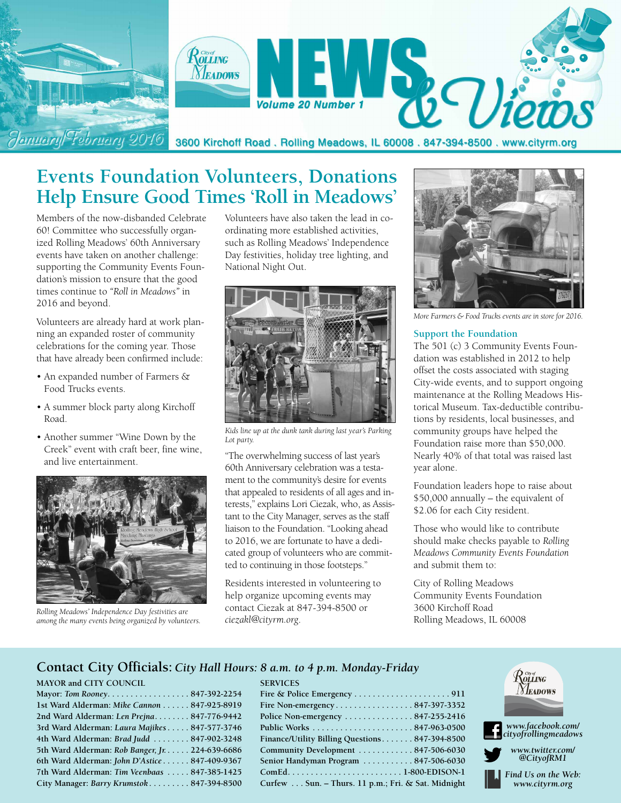

### **Events Foundation Volunteers, Donations Help Ensure Good Times 'Roll in Meadows'**

Members of the now-disbanded Celebrate 60! Committee who successfully organized Rolling Meadows' 60th Anniversary events have taken on another challenge: supporting the Community Events Foundation's mission to ensure that the good times continue to *"Roll in Meadows"* in 2016 and beyond.

Volunteers are already hard at work planning an expanded roster of community celebrations for the coming year. Those that have already been confirmed include:

- An expanded number of Farmers & Food Trucks events.
- A summer block party along Kirchoff Road.
- Another summer "Wine Down by the Creek" event with craft beer, fine wine, and live entertainment.



*Rolling Meadows' Independence Day festivities are among the many events being organized by volunteers.*

Volunteers have also taken the lead in coordinating more established activities, such as Rolling Meadows' Independence Day festivities, holiday tree lighting, and National Night Out.



*Kids line up at the dunk tank during last year's Parking Lot party.*

"The overwhelming success of last year's 60th Anniversary celebration was a testament to the community's desire for events that appealed to residents of all ages and interests," explains Lori Ciezak, who, as Assistant to the City Manager, serves as the staff liaison to the Foundation. "Looking ahead to 2016, we are fortunate to have a dedicated group of volunteers who are committed to continuing in those footsteps."

Residents interested in volunteering to help organize upcoming events may contact Ciezak at 847-394-8500 or *ciezakl@cityrm.org*.

**SERVICES**



*More Farmers & Food Trucks events are in store for 2016.*

#### **Support the Foundation**

The 501 (c) 3 Community Events Foundation was established in 2012 to help offset the costs associated with staging City-wide events, and to support ongoing maintenance at the Rolling Meadows Historical Museum. Tax-deductible contributions by residents, local businesses, and community groups have helped the Foundation raise more than \$50,000. Nearly 40% of that total was raised last year alone.

Foundation leaders hope to raise about \$50,000 annually – the equivalent of \$2.06 for each City resident.

Those who would like to contribute should make checks payable to *Rolling Meadows Community Events Foundation* and submit them to:

City of Rolling Meadows Community Events Foundation 3600 Kirchoff Road Rolling Meadows, IL 60008

#### **Contact City Officials:** *City Hall Hours: 8 a.m. to 4 p.m. Monday-Friday*

#### **MAYOR and CITY COUNCIL**

| Mayor: Tom Rooney847-392-2254                   |
|-------------------------------------------------|
| 1st Ward Alderman: Mike Cannon 847-925-8919     |
| 2nd Ward Alderman: Len Prejna 847-776-9442      |
| 3rd Ward Alderman: Laura Majikes 847-577-3746   |
| 4th Ward Alderman: Brad Judd  847-902-3248      |
| 5th Ward Alderman: Rob Banger, Jr. 224-639-6686 |
| 6th Ward Alderman: John D'Astice 847-409-9367   |
| 7th Ward Alderman: Tim Veenbaas  847-385-1425   |
| City Manager: Barry Krumstok 847-394-8500       |
|                                                 |

| Fire Non-emergency847-397-3352    |  |  |  |
|-----------------------------------|--|--|--|
| Police Non-emergency 847-255-2416 |  |  |  |

| Fire Non-emergency847-397-3352                           |
|----------------------------------------------------------|
| Police Non-emergency $\dots\dots\dots\dots 847-255-2416$ |
|                                                          |
| Finance/Utility Billing Questions 847-394-8500           |
| Community Development 847-506-6030                       |
| Senior Handyman Program  847-506-6030                    |
|                                                          |
| Curfew  Sun. – Thurs. 11 p.m.; Fri. & Sat. Midnight      |
|                                                          |

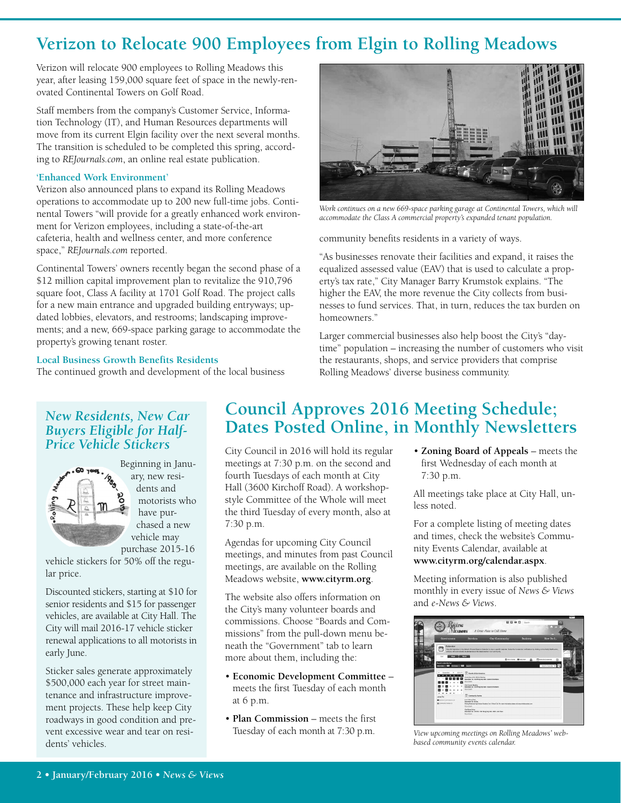### **Verizon to Relocate 900 Employees from Elgin to Rolling Meadows**

Verizon will relocate 900 employees to Rolling Meadows this year, after leasing 159,000 square feet of space in the newly-renovated Continental Towers on Golf Road.

Staff members from the company's Customer Service, Information Technology (IT), and Human Resources departments will move from its current Elgin facility over the next several months. The transition is scheduled to be completed this spring, according to *REJournals.com*, an online real estate publication.

#### **'Enhanced Work Environment'**

Verizon also announced plans to expand its Rolling Meadows operations to accommodate up to 200 new full-time jobs. Continental Towers "will provide for a greatly enhanced work environment for Verizon employees, including a state-of-the-art cafeteria, health and wellness center, and more conference space," *REJournals.com* reported.

Continental Towers' owners recently began the second phase of a \$12 million capital improvement plan to revitalize the 910,796 square foot, Class A facility at 1701 Golf Road. The project calls for a new main entrance and upgraded building entryways; updated lobbies, elevators, and restrooms; landscaping improvements; and a new, 669-space parking garage to accommodate the property's growing tenant roster.

#### **Local Business Growth Benefits Residents**

The continued growth and development of the local business



*Work continues on a new 669-space parking garage at Continental Towers, which will accommodate the Class A commercial property's expanded tenant population.*

community benefits residents in a variety of ways.

"As businesses renovate their facilities and expand, it raises the equalized assessed value (EAV) that is used to calculate a property's tax rate," City Manager Barry Krumstok explains. "The higher the EAV, the more revenue the City collects from businesses to fund services. That, in turn, reduces the tax burden on homeowners."

Larger commercial businesses also help boost the City's "daytime" population – increasing the number of customers who visit the restaurants, shops, and service providers that comprise Rolling Meadows' diverse business community.

## *New Residents, New Car Buyers Eligible for Half- Price Vehicle Stickers*



Beginning in January, new residents and motorists who have purchased a new vehicle may purchase 2015-16

vehicle stickers for 50% off the regular price.

Discounted stickers, starting at \$10 for senior residents and \$15 for passenger vehicles, are available at City Hall. The City will mail 2016-17 vehicle sticker renewal applications to all motorists in early June.

Sticker sales generate approximately \$500,000 each year for street maintenance and infrastructure improvement projects. These help keep City roadways in good condition and prevent excessive wear and tear on residents' vehicles.

#### **Council Approves 2016 Meeting Schedule; Dates Posted Online, in Monthly Newsletters**

City Council in 2016 will hold its regular meetings at 7:30 p.m. on the second and fourth Tuesdays of each month at City Hall (3600 Kirchoff Road). A workshopstyle Committee of the Whole will meet the third Tuesday of every month, also at 7:30 p.m.

Agendas for upcoming City Council meetings, and minutes from past Council meetings, are available on the Rolling Meadows website, **www.cityrm.org**.

The website also offers information on the City's many volunteer boards and commissions. Choose "Boards and Commissions" from the pull-down menu beneath the "Government" tab to learn more about them, including the:

- **Economic Development Committee** meets the first Tuesday of each month at 6 p.m.
- **Plan Commission** meets the first Tuesday of each month at 7:30 p.m.

• **Zoning Board of Appeals** – meets the first Wednesday of each month at 7:30 p.m.

All meetings take place at City Hall, unless noted.

For a complete listing of meeting dates and times, check the website's Community Events Calendar, available at **www.cityrm.org/calendar.aspx**.

Meeting information is also published monthly in every issue of *News & Views* and *e-News & Views*.

|                                                                                                                                                  |                                                                                                                                                                                                                                                                                                                                                                                                                           |                                                                                                                                                                                          |                 |                                                    | <b>Name</b> |
|--------------------------------------------------------------------------------------------------------------------------------------------------|---------------------------------------------------------------------------------------------------------------------------------------------------------------------------------------------------------------------------------------------------------------------------------------------------------------------------------------------------------------------------------------------------------------------------|------------------------------------------------------------------------------------------------------------------------------------------------------------------------------------------|-----------------|----------------------------------------------------|-------------|
| ROLLING<br><b>EADOWS</b>                                                                                                                         |                                                                                                                                                                                                                                                                                                                                                                                                                           | A Great Place to Call Home                                                                                                                                                               | 日日 0 日 100      | $\mathbf{a}$<br>12. 61                             |             |
| Government                                                                                                                                       | <b>Services</b>                                                                                                                                                                                                                                                                                                                                                                                                           | <b>Our Community</b>                                                                                                                                                                     | <b>Business</b> | How Do L.                                          |             |
| Calendar<br>٣<br>œ<br>List<br><b>Search calendar but</b><br>е<br>Ē<br><b>Distance</b><br><b>Call Call</b>                                        | and you will submerciably be started about the fatest exercis in our community.<br>Beative                                                                                                                                                                                                                                                                                                                                | View AI Delenders is the defeult. Oncore Select a Celender to view a specific celender. Subscribe to colembar notifications by clobing on the Notfly MeS button.<br><b>Dresney Brenn</b> |                 | TT Admiral in Kimrok<br>$\sigma$<br>text conte v Q |             |
| 9.357<br>Paranter<br>m<br>٠<br>n<br>面<br>×<br>×<br><b>COL</b><br>×<br>June Tel<br><b>ED</b> tracers in Communication<br><b>Willemman Francis</b> | <b>ED</b> Diede & Constantino<br>Conseillas of the Whole Meeting<br>Detector 15, 700 PM @ City Pair: Council Chemiers<br><b>WAS DISTURED</b><br>On Council Basico<br>Departer 23 700 PM & Cry India Council Chemistry<br>Mon Central<br><sup>23</sup> Common France<br><b>Text Block Out</b><br><b>Colombia St. 48 Cay</b><br>Mira Detain<br>Desabler 22, 100 PM-126 PM @ Chy Hell - DDC - Soli Floor<br><b>Nicklaire</b> | distructions and future foreign fund to a financial for the controller states on mountains and an                                                                                        |                 |                                                    |             |

*View upcoming meetings on Rolling Meadows' webbased community events calendar.*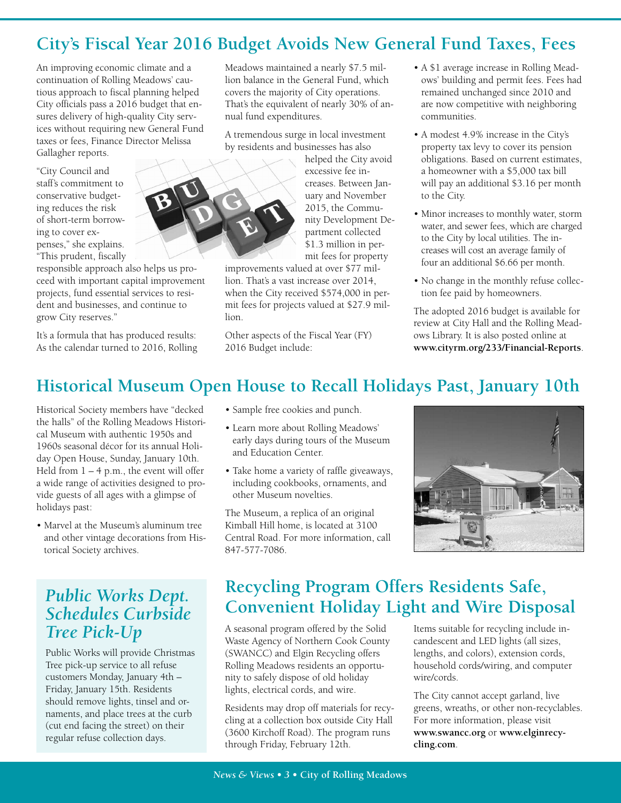### **City's Fiscal Year 2016 Budget Avoids New General Fund Taxes, Fees**

An improving economic climate and a continuation of Rolling Meadows' cautious approach to fiscal planning helped City officials pass a 2016 budget that ensures delivery of high-quality City services without requiring new General Fund taxes or fees, Finance Director Melissa Gallagher reports.

"City Council and staff's commitment to conservative budgeting reduces the risk of short-term borrowing to cover expenses," she explains. "This prudent, fiscally

responsible approach also helps us proceed with important capital improvement projects, fund essential services to resident and businesses, and continue to grow City reserves."

It's a formula that has produced results: As the calendar turned to 2016, Rolling Meadows maintained a nearly \$7.5 million balance in the General Fund, which covers the majority of City operations. That's the equivalent of nearly 30% of annual fund expenditures.

A tremendous surge in local investment by residents and businesses has also

> helped the City avoid excessive fee increases. Between January and November 2015, the Community Development Department collected \$1.3 million in permit fees for property

improvements valued at over \$77 million. That's a vast increase over 2014, when the City received \$574,000 in permit fees for projects valued at \$27.9 million.

Other aspects of the Fiscal Year (FY) 2016 Budget include:

- A \$1 average increase in Rolling Meadows' building and permit fees. Fees had remained unchanged since 2010 and are now competitive with neighboring communities.
- A modest 4.9% increase in the City's property tax levy to cover its pension obligations. Based on current estimates, a homeowner with a \$5,000 tax bill will pay an additional \$3.16 per month to the City.
- Minor increases to monthly water, storm water, and sewer fees, which are charged to the City by local utilities. The increases will cost an average family of four an additional \$6.66 per month.
- No change in the monthly refuse collection fee paid by homeowners.

The adopted 2016 budget is available for review at City Hall and the Rolling Meadows Library. It is also posted online at **www.cityrm.org/233/Financial-Reports**.

### **Historical Museum Open House to Recall Holidays Past, January 10th**

Historical Society members have "decked the halls" of the Rolling Meadows Historical Museum with authentic 1950s and 1960s seasonal décor for its annual Holiday Open House, Sunday, January 10th. Held from  $1 - 4$  p.m., the event will offer a wide range of activities designed to provide guests of all ages with a glimpse of holidays past:

• Marvel at the Museum's aluminum tree and other vintage decorations from Historical Society archives.

#### *Public Works Dept. Schedules Curbside Tree Pick-Up*

Public Works will provide Christmas Tree pick-up service to all refuse customers Monday, January 4th – Friday, January 15th. Residents should remove lights, tinsel and ornaments, and place trees at the curb (cut end facing the street) on their regular refuse collection days.

- Sample free cookies and punch.
- Learn more about Rolling Meadows' early days during tours of the Museum and Education Center.
- Take home a variety of raffle giveaways, including cookbooks, ornaments, and other Museum novelties.

The Museum, a replica of an original Kimball Hill home, is located at 3100 Central Road. For more information, call 847-577-7086.



### **Recycling Program Offers Residents Safe, Convenient Holiday Light and Wire Disposal**

A seasonal program offered by the Solid Waste Agency of Northern Cook County (SWANCC) and Elgin Recycling offers Rolling Meadows residents an opportunity to safely dispose of old holiday lights, electrical cords, and wire.

Residents may drop off materials for recycling at a collection box outside City Hall (3600 Kirchoff Road). The program runs through Friday, February 12th.

Items suitable for recycling include incandescent and LED lights (all sizes, lengths, and colors), extension cords, household cords/wiring, and computer wire/cords.

The City cannot accept garland, live greens, wreaths, or other non-recyclables. For more information, please visit **www.swancc.org** or **www.elginrecycling.com**.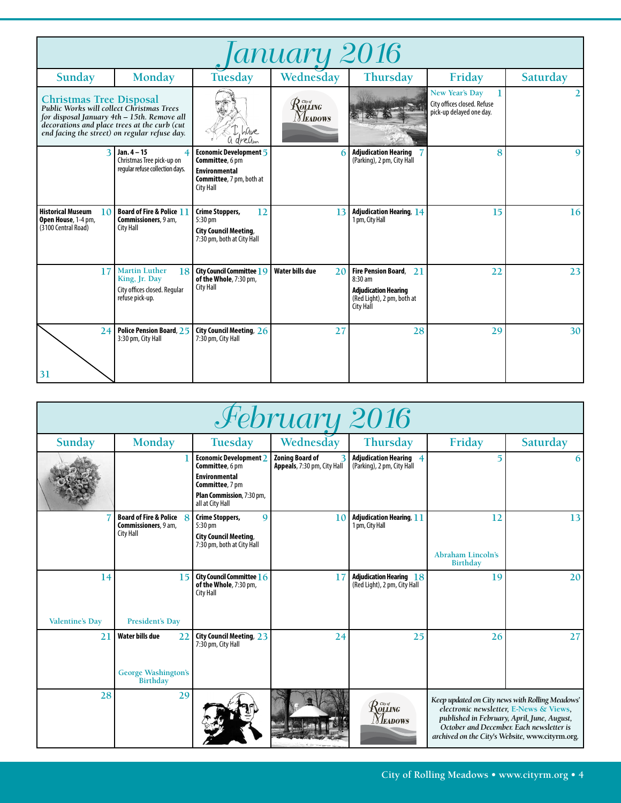| 'anuary 2016                                                                                                                                                                                                                |                                                                                                         |                                                                                                            |                                       |                                                                                                                         |                                                                           |                 |  |  |
|-----------------------------------------------------------------------------------------------------------------------------------------------------------------------------------------------------------------------------|---------------------------------------------------------------------------------------------------------|------------------------------------------------------------------------------------------------------------|---------------------------------------|-------------------------------------------------------------------------------------------------------------------------|---------------------------------------------------------------------------|-----------------|--|--|
| Sunday                                                                                                                                                                                                                      | Monday                                                                                                  | Tuesday                                                                                                    | Wednesday                             | Thursday                                                                                                                | Friday                                                                    | Saturday        |  |  |
| <b>Christmas Tree Disposal</b><br>Public Works will collect Christmas Trees<br>for disposal January 4th - 15th. Remove all<br>decorations and place trees at the curb (cut<br>end facing the street) on regular refuse day. |                                                                                                         | have<br>dream                                                                                              | $\mathcal{R}$ outro<br><i>Neadows</i> |                                                                                                                         | New Year's Day<br>City offices closed. Refuse<br>pick-up delayed one day. |                 |  |  |
|                                                                                                                                                                                                                             | $Jan.4 - 15$<br>$\overline{\mathbf{4}}$<br>Christmas Tree pick-up on<br>regular refuse collection days. | Economic Development 5<br>Committee, 6 pm<br>Environmental<br>Committee, 7 pm, both at<br><b>City Hall</b> |                                       | <b>Adjudication Hearing</b><br>(Parking), 2 pm, City Hall                                                               | 8                                                                         | $\mathbf Q$     |  |  |
| <b>Historical Museum</b><br>16<br>Open House, 1-4 pm,<br>(3100 Central Road)                                                                                                                                                | <b>Board of Fire &amp; Police 11</b><br>Commissioners, 9 am,<br>City Hall                               | Crime Stoppers,<br>12<br>5:30 pm<br><b>City Council Meeting,</b><br>7:30 pm, both at City Hall             | 13                                    | <b>Adjudication Hearing, 14</b><br>1 pm, City Hall                                                                      | 15                                                                        | 16              |  |  |
| 17                                                                                                                                                                                                                          | <b>Martin Luther</b><br>18<br>King, Jr. Day<br>City offices closed. Regular<br>refuse pick-up.          | <b>City Council Committee 19</b><br>of the Whole, 7:30 pm,<br>City Hall                                    | Water bills due<br>20                 | <b>Fire Pension Board.</b><br>21<br>$8:30$ am<br><b>Adjudication Hearing</b><br>(Red Light), 2 pm, both at<br>City Hall | 22                                                                        | 23              |  |  |
| 24<br>31                                                                                                                                                                                                                    | Police Pension Board, 25<br>3:30 pm, City Hall                                                          | City Council Meeting, 26<br>7:30 pm, City Hall                                                             | 27                                    | 28                                                                                                                      | 29                                                                        | 30 <sup>1</sup> |  |  |

| February 2016                |                                                                          |                                                                                                                                              |                                                       |                                                                |                                                                                                                                                                                               |                                        |  |  |
|------------------------------|--------------------------------------------------------------------------|----------------------------------------------------------------------------------------------------------------------------------------------|-------------------------------------------------------|----------------------------------------------------------------|-----------------------------------------------------------------------------------------------------------------------------------------------------------------------------------------------|----------------------------------------|--|--|
| Sunday                       | <b>Monday</b>                                                            | <b>Tuesday</b>                                                                                                                               | Wednesday                                             | Thursday                                                       | Friday                                                                                                                                                                                        | Saturday                               |  |  |
|                              |                                                                          | <b>Economic Development 2</b><br>Committee, 6 pm<br><b>Environmental</b><br>Committee, 7 pm<br>Plan Commission, 7:30 pm,<br>all at City Hall | <b>Zoning Board of</b><br>Appeals, 7:30 pm, City Hall | <b>Adjudication Hearing</b><br>(Parking), 2 pm, City Hall      | 5                                                                                                                                                                                             | 6                                      |  |  |
|                              | <b>Board of Fire &amp; Police</b> 8<br>Commissioners, 9 am,<br>City Hall | $\mathbf Q$<br><b>Crime Stoppers,</b><br>$5:30 \text{ pm}$<br><b>City Council Meeting,</b><br>7:30 pm, both at City Hall                     | 10                                                    | <b>Adjudication Hearing, 11</b><br>1 pm, City Hall             | 12<br>Abraham Lincoln's<br><b>Birthday</b>                                                                                                                                                    | 13                                     |  |  |
| 14<br><b>Valentine's Day</b> | 15<br>President's Day                                                    | <b>City Council Committee 16</b><br>of the Whole, 7:30 pm,<br>City Hall                                                                      | 17                                                    | <b>Adjudication Hearing 18</b><br>(Red Light), 2 pm, City Hall | 19                                                                                                                                                                                            | 20                                     |  |  |
| 21                           | Water bills due<br>22<br><b>George Washington's</b><br><b>Birthday</b>   | <b>City Council Meeting, 23</b><br>7:30 pm, City Hall                                                                                        | 24                                                    | 25                                                             | 26                                                                                                                                                                                            | 27                                     |  |  |
| 28                           | 29                                                                       |                                                                                                                                              |                                                       | $\mathcal{R}$ olling<br>Meadows                                | Keep updated on City news with Rolling Meadows'<br>published in February, April, June, August,<br>October and December. Each newsletter is<br>archived on the City's Website, www.cityrm.org. | electronic newsletter, E-News & Views, |  |  |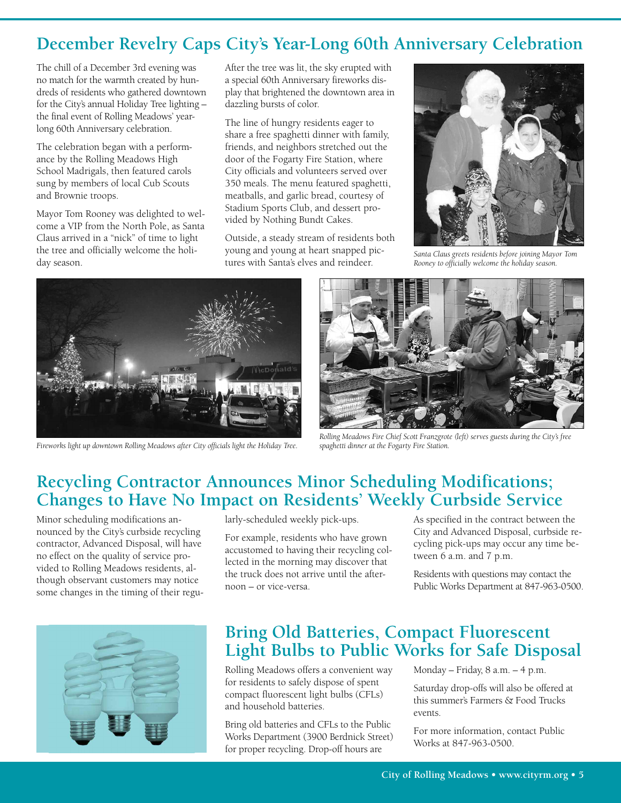#### **December Revelry Caps City's Year-Long 60th Anniversary Celebration**

The chill of a December 3rd evening was no match for the warmth created by hundreds of residents who gathered downtown for the City's annual Holiday Tree lighting – the final event of Rolling Meadows' yearlong 60th Anniversary celebration.

The celebration began with a performance by the Rolling Meadows High School Madrigals, then featured carols sung by members of local Cub Scouts and Brownie troops.

Mayor Tom Rooney was delighted to welcome a VIP from the North Pole, as Santa Claus arrived in a "nick" of time to light the tree and officially welcome the holiday season.

After the tree was lit, the sky erupted with a special 60th Anniversary fireworks display that brightened the downtown area in dazzling bursts of color.

The line of hungry residents eager to share a free spaghetti dinner with family, friends, and neighbors stretched out the door of the Fogarty Fire Station, where City officials and volunteers served over 350 meals. The menu featured spaghetti, meatballs, and garlic bread, courtesy of Stadium Sports Club, and dessert provided by Nothing Bundt Cakes.

Outside, a steady stream of residents both young and young at heart snapped pictures with Santa's elves and reindeer.



*Santa Claus greets residents before joining Mayor Tom Rooney to officially welcome the holiday season.*



Fireworks light up downtown Rolling Meadows after City officials light the Holiday Tree.



*Rolling Meadows Fire Chief Scott Franzgrote (left) serves guests during the City's free*

#### **Recycling Contractor Announces Minor Scheduling Modifications; Changes to Have No Impact on Residents' Weekly Curbside Service**

Minor scheduling modifications announced by the City's curbside recycling contractor, Advanced Disposal, will have no effect on the quality of service provided to Rolling Meadows residents, although observant customers may notice some changes in the timing of their regu-



larly-scheduled weekly pick-ups.

For example, residents who have grown accustomed to having their recycling collected in the morning may discover that the truck does not arrive until the afternoon – or vice-versa.

As specified in the contract between the City and Advanced Disposal, curbside recycling pick-ups may occur any time between 6 a.m. and 7 p.m.

Residents with questions may contact the Public Works Department at 847-963-0500.

#### **Bring Old Batteries, Compact Fluorescent Light Bulbs to Public Works for Safe Disposal**

Rolling Meadows offers a convenient way for residents to safely dispose of spent compact fluorescent light bulbs (CFLs) and household batteries.

Bring old batteries and CFLs to the Public Works Department (3900 Berdnick Street) for proper recycling. Drop-off hours are

Monday – Friday, 8 a.m. – 4 p.m.

Saturday drop-offs will also be offered at this summer's Farmers & Food Trucks events.

For more information, contact Public Works at 847-963-0500.